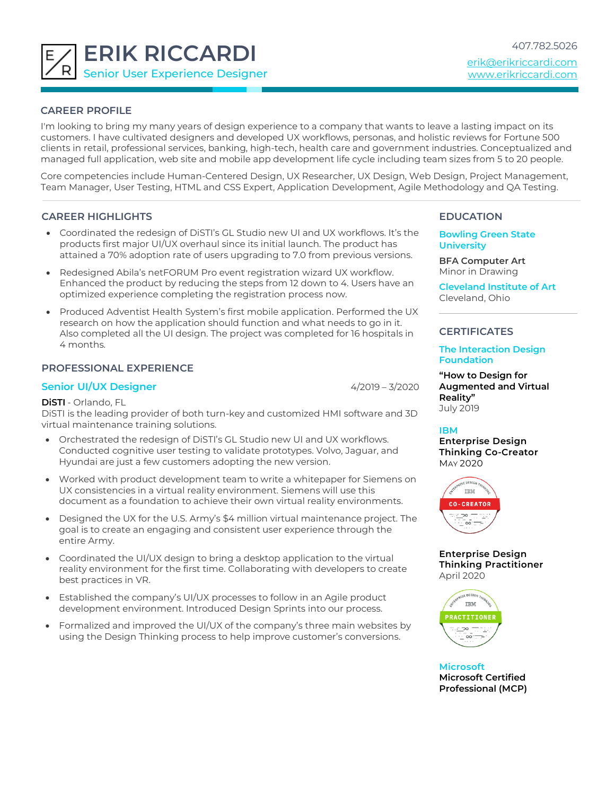

# **CAREER PROFILE**

I'm looking to bring my many years of design experience to a company that wants to leave a lasting impact on its customers. I have cultivated designers and developed UX workflows, personas, and holistic reviews for Fortune 500 clients in retail, professional services, banking, high-tech, health care and government industries. Conceptualized and managed full application, web site and mobile app development life cycle including team sizes from 5 to 20 people.

Core competencies include Human-Centered Design, UX Researcher, UX Design, Web Design, Project Management, Team Manager, User Testing, HTML and CSS Expert, Application Development, Agile Methodology and QA Testing.

## **CAREER HIGHLIGHTS**

- Coordinated the redesign of DiSTI's GL Studio new UI and UX workflows. It's the products first major UI/UX overhaul since its initial launch. The product has attained a 70% adoption rate of users upgrading to 7.0 from previous versions.
- Redesigned Abila's netFORUM Pro event registration wizard UX workflow. Enhanced the product by reducing the steps from 12 down to 4. Users have an optimized experience completing the registration process now.
- Produced Adventist Health System's first mobile application. Performed the UX research on how the application should function and what needs to go in it. Also completed all the UI design. The project was completed for 16 hospitals in 4 months.

## **PROFESSIONAL EXPERIENCE**

### **Senior UI/UX Designer** 4/2019 – 3/2020

**DiSTI** - Orlando, FL

DiSTI is the leading provider of both turn-key and customized HMI software and 3D virtual maintenance training solutions.

- Orchestrated the redesign of DiSTI's GL Studio new UI and UX workflows. Conducted cognitive user testing to validate prototypes. Volvo, Jaguar, and Hyundai are just a few customers adopting the new version.
- Worked with product development team to write a whitepaper for Siemens on UX consistencies in a virtual reality environment. Siemens will use this document as a foundation to achieve their own virtual reality environments.
- Designed the UX for the U.S. Army's \$4 million virtual maintenance project. The goal is to create an engaging and consistent user experience through the entire Army.
- Coordinated the UI/UX design to bring a desktop application to the virtual reality environment for the first time. Collaborating with developers to create best practices in VR.
- Established the company's UI/UX processes to follow in an Agile product development environment. Introduced Design Sprints into our process.
- Formalized and improved the UI/UX of the company's three main websites by using the Design Thinking process to help improve customer's conversions.

# **EDUCATION**

**Bowling Green State University**

**BFA Computer Art** Minor in Drawing

**Cleveland Institute of Art** Cleveland, Ohio

## **CERTIFICATES**

### **The Interaction Design Foundation**

**"How to Design for Augmented and Virtual Reality"** July 2019

## **IBM**

**Enterprise Design Thinking Co-Creator** MAY 2020



**Enterprise Design Thinking Practitioner** April 2020



**Microsoft Microsoft Certified Professional (MCP)**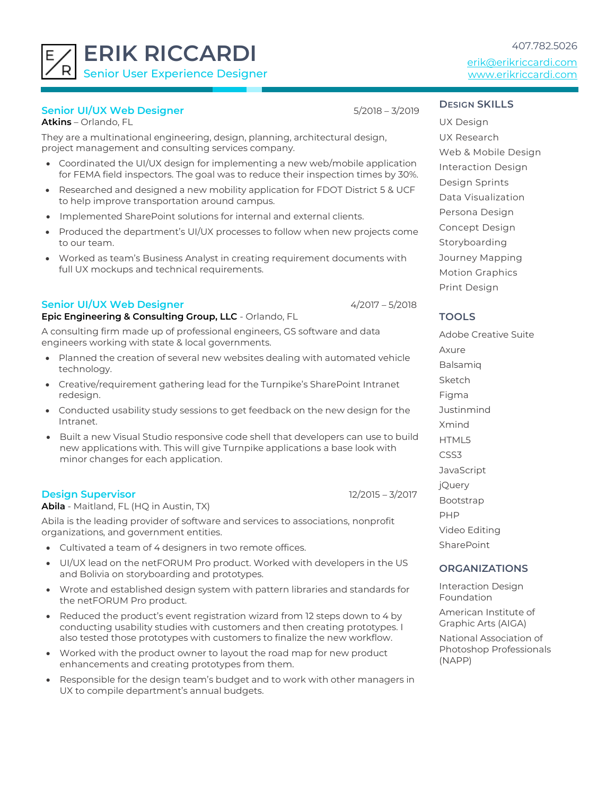**ERIK RICCARDI** Senior User Experience Designer

**Senior UI/UX Web Designer** 5/2018 – 3/2019

**Atkins** – Orlando, FL

They are a multinational engineering, design, planning, architectural design, project management and consulting services company.

- Coordinated the UI/UX design for implementing a new web/mobile application for FEMA field inspectors. The goal was to reduce their inspection times by 30%.
- Researched and designed a new mobility application for FDOT District 5 & UCF to help improve transportation around campus.
- Implemented SharePoint solutions for internal and external clients.
- Produced the department's UI/UX processes to follow when new projects come to our team.
- Worked as team's Business Analyst in creating requirement documents with full UX mockups and technical requirements.

### **Senior UI/UX Web Designer** 4/2017 – 5/2018

**Epic Engineering & Consulting Group, LLC** - Orlando, FL

A consulting firm made up of professional engineers, GS software and data engineers working with state & local governments.

- Planned the creation of several new websites dealing with automated vehicle technology.
- Creative/requirement gathering lead for the Turnpike's SharePoint Intranet redesign.
- Conducted usability study sessions to get feedback on the new design for the Intranet.
- Built a new Visual Studio responsive code shell that developers can use to build new applications with. This will give Turnpike applications a base look with minor changes for each application.

### **Design Supervisor** 12/2015 – 3/2017

**Abila** - Maitland, FL (HQ in Austin, TX)

Abila is the leading provider of software and services to associations, nonprofit organizations, and government entities.

- Cultivated a team of 4 designers in two remote offices.
- UI/UX lead on the netFORUM Pro product. Worked with developers in the US and Bolivia on storyboarding and prototypes.
- Wrote and established design system with pattern libraries and standards for the netFORUM Pro product.
- Reduced the product's event registration wizard from 12 steps down to 4 by conducting usability studies with customers and then creating prototypes. I also tested those prototypes with customers to finalize the new workflow.
- Worked with the product owner to layout the road map for new product enhancements and creating prototypes from them.
- Responsible for the design team's budget and to work with other managers in UX to compile department's annual budgets.

### **DESIGN SKILLS**

UX Design UX Research Web & Mobile Design Interaction Design Design Sprints Data Visualization Persona Design Concept Design Storyboarding Journey Mapping Motion Graphics Print Design

## **TOOLS**

Adobe Creative Suite Axure Balsamiq Sketch Figma **Justinmind** Xmind HTML5 CSS3 **JavaScript** jQuery Bootstrap PHP Video Editing **SharePoint** 

## **ORGANIZATIONS**

Interaction Design Foundation

American Institute of Graphic Arts (AIGA)

National Association of Photoshop Professionals (NAPP)

# 407.782.5026

[erik@erikriccardi.com](mailto:erik@erikriccardi.com) www.erikriccardi.com